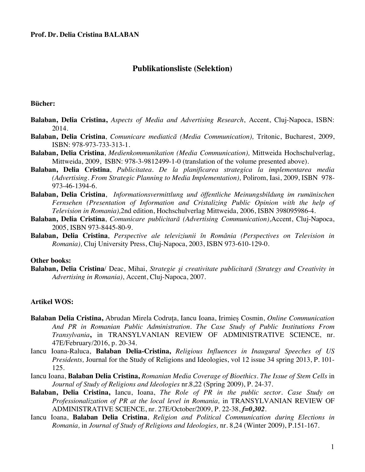# **Publikationsliste (Selektion)**

### **Bücher:**

- **Balaban, Delia Cristina,** *Aspects of Media and Advertising Research*, Accent, Cluj-Napoca, ISBN: 2014.
- **Balaban, Delia Cristina**, *Comunicare mediatică (Media Communication),* Tritonic, Bucharest, 2009, ISBN: 978-973-733-313-1.
- **Balaban, Delia Cristina**, *Medienkommunikation (Media Communication),* Mittweida Hochschulverlag, Mittweida, 2009, ISBN: 978-3-9812499-1-0 (translation of the volume presented above).
- **Balaban, Delia Cristina**, *Publicitatea. De la planificarea strategica la implementarea media (Advertising. From Strategic Planning to Media Implementation),* Polirom, Iasi, 2009, ISBN 978- 973-46-1394-6.
- **Balaban, Delia Cristina**, *Informationsvermittlung und öffentliche Meinungsbildung im rumänischen Fernsehen (Presentation of Information and Cristalizing Public Opinion with the help of Television in Romania),*2nd edition, Hochschulverlag Mittweida, 2006, ISBN 398095986-4.
- **Balaban, Delia Cristina**, *Comunicare publicitară (Advertising Communication),*Accent, Cluj-Napoca, 2005, ISBN 973-8445-80-9.
- **Balaban, Delia Cristina**, *Perspective ale televiziunii în România (Perspectives on Television in Romania),* Cluj University Press, Cluj-Napoca, 2003, ISBN 973-610-129-0.

### **Other books:**

**Balaban, Delia Cristina**/ Deac, Mihai, *Strategie şi creativitate publicitară (Strategy and Creativity in Advertising in Romania)*, Accent, Cluj-Napoca, 2007.

## **Artikel WOS:**

- **Balaban Delia Cristina,** Abrudan Mirela Codruța, Iancu Ioana, Irimieș Cosmin, *Online Communication And PR in Romanian Public Administration. The Case Study of Public Institutions From Transylvania***,** in TRANSYLVANIAN REVIEW OF ADMINISTRATIVE SCIENCE, nr. 47E/February/2016, p. 20-34.
- Iancu Ioana-Raluca, **Balaban Delia-Cristina,** *Religious Influences in Inaugural Speeches of US Presidents,* Journal for the Study of Religions and Ideologies, vol 12 issue 34 spring 2013, P. 101- 125.
- Iancu Ioana, **Balaban Delia Cristina,** *Romanian Media Coverage of Bioethics. The Issue of Stem Cells* in *Journal of Study of Religions and Ideologies* nr.8,22 (Spring 2009), P. 24-37.
- **Balaban, Delia Cristina,** Iancu, Ioana, *The Role of PR in the public sector. Case Study on Professionalization of PR at the local level in Romania,* in TRANSYLVANIAN REVIEW OF ADMINISTRATIVE SCIENCE, nr. 27E/October/2009, P. 22-38, *f=0,302*.
- Iancu Ioana, **Balaban Delia Cristina**, *Religion and Political Communication during Elections in Romania,* in *Journal of Study of Religions and Ideologies,* nr. 8,24 (Winter 2009), P.151-167.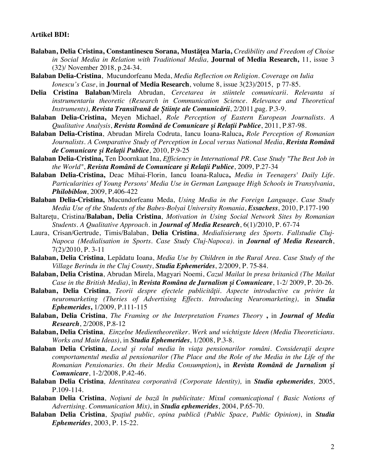#### **Artikel BDI:**

- **Balaban, Delia Cristina, Constantinescu Sorana, Mustățea Maria,** *Credibility and Freedom of Choise in Social Media in Relation with Traditional Media,* **Journal of Media Research,** 11, issue 3 (32)/ November 2018, p.24-34.
- **Balaban Delia-Cristina**, Mucundorfeanu Meda, *Media Reflection on Religion. Coverage on Iulia Ionescu's Case*, in **Journal of Media Research**, volume 8, issue 3(23)/2015, p 77-85.
- **Delia Cristina Balaban**/Mirela Abrudan, *Cercetarea in stiintele comunicarii. Relevanta si instrumentariu theoretic (Research in Communication Science. Relevance and Theoretical Instruments), Revista Transilvană de Științe ale Comunicării*, 2/2011,pag. P.3-9.
- **Balaban Delia-Cristina,** Meyen Michael, *Role Perception of Eastern European Journalists. A Qualitative Analysis*, *Revista Română de Comunicare și Relații Publice*, 2011, P.87-98.
- **Balaban Delia-Cristina**, Abrudan Mirela Codruta, Iancu Ioana-Raluca**,** *Role Perception of Romanian Journalists. A Comparative Study of Perception in Local versus National Media*, *Revista Română de Comunicare și Relații Publice*, 2010, P.9-25
- **Balaban Delia-Cristina,** Ten Doornkaat Ina, *Efficiency in International PR. Case Study "The Best Job in the World"*, *Revista Română de Comunicare și Relații Publice*, 2009, P.27-34
- **Balaban Delia-Cristina,** Deac Mihai-Florin, Iancu Ioana-Raluca**,** *Media in Teenagers' Daily Life. Particularities of Young Persons' Media Use in German Language High Schools in Transylvania*, *Philobiblon*, 2009, P.406-422
- **Balaban Delia-Cristina,** Mucundorfeanu Meda, *Using Media in the Foreign Language. Case Study Media Use of the Students of the Babes-Bolyai University Romania*, *Essachess*, 2010, P.177-190
- Baltarețu, Cristina/**Balaban, Delia Cristina**, *Motivation in Using Social Network Sites by Romanian Students. A Qualitative Approach*. in *Journal of Media Research*, 6(1)/2010, P. 67-74
- Laura, Crisan/Gertrude, Timis/Balaban, **Delia Cristina**, *Medialisierung des Sports. Fallstudie Cluj-Napoca (Medialisation in Sports. Case Study Cluj-Napoca)*. in *Journal of Media Research*, 7(2)/2010, P. 3-11
- **Balaban, Delia Cristina**, Lepădatu Ioana, *Media Use by Children in the Rural Area. Case Study of the Village Berindu in the Cluj County, Studia Ephemerides*, 2/2009, P. 75-84.
- **Balaban, Delia Cristina**, Abrudan Mirela, Magyari Noemi, *Cazul Mailat în presa britanică (The Mailat Case in the British Media)*, în *Revista Româna de Jurnalism și Comunicare*, 1-2/ 2009, P. 20-26.
- **Balaban, Delia Cristina**, *Teorii despre efectele publicităţii. Aspecte introductive cu privire la neuromarketing (Theries of Advertising Effects. Introducing Neuromarketing),* in *Studia Ephemerides***,** 1/2009, P.111-115
- **Balaban, Delia Cristina**, *The Framing or the Interpretation Frames Theory* **,** in *Journal of Media Research*, 2/2008, P.8-12
- **Balaban, Delia Cristina**, *Einzelne Medientheoretiker. Werk und wichtigste Ideen (Media Theoreticians. Works and Main Ideas)*, in *Studia Ephemerides*, 1/2008, P.3-8.
- **Balaban Delia Cristina**, *Locul şi rolul media în viaţa pensionarilor români. Consideraţii despre comportamentul media al pensionarilor (The Place and the Role of the Media in the Life of the Romanian Pensionaries. On their Media Consumption)***,** in *Revista Română de Jurnalism și Comunicare*, 1-2/2008, P.42-46.
- **Balaban Delia Cristina***, Identitatea corporativă (Corporate Identity),* in *Studia ephemerides,* 2005, P.109-114.
- **Balaban Delia Cristina**, *Noţiuni de bază în publicitate: Mixul comunicaţional ( Basic Notions of Advertising. Communication Mix)*, in *Studia ephemerides*, 2004, P.65-70.
- **Balaban Delia Cristina**, *Spaţiul public, opina publică (Public Space, Public Opinion)*, in *Studia Ephemerides*, 2003, P. 15-22.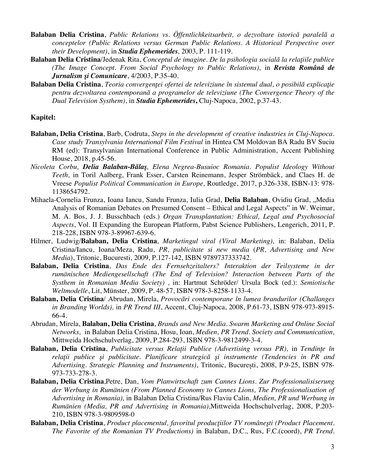- **Balaban Delia Cristina**, *Public Relations vs. Öffentlichkeitsarbeit, o dezvoltare istorică paralelă a conceptelor (Public Relations versus German Public Relations. A Historical Perspective over their Development)*, in *Studia Ephemerides,* 2003, P. 111-119.
- **Balaban Delia Cristina**/Jedenak Rita, *Conceptul de imagine. De la psihologia socială la relaţiile publice (The Image Concept. From Social Psychology to Public Relations),* in *Revista Română de Jurnalism şi Comunicare*, 4/2003, P.35-40.
- **Balaban Delia Cristina**, *Teoria convergenţei ofertei de televiziune în sistemul dual, o posibilă explicaţie pentru dezvoltarea contemporană a programelor de televiziune (The Convergence Theory of the Dual Television Systhem)*, in *Studia Ephemerides***,** Cluj-Napoca, 2002, p.37-43.

## **Kapitel:**

- **Balaban, Delia Cristina**, Barb, Codruta, *Steps in the development of creative industries in Cluj-Napoca. Case study Transylvania International Film Festival* in Hintea CM Moldovan BA Radu BV Suciu RM (ed): Transylvanian International Conference in Public Administration, Accent Publishing House, 2018, p.45-56.
- *Nicoleta Corbu, Delia Balaban-Bălaş, Elena Negrea-Busuioc Romania. Populist Ideology Without Teeth,* in Toril Aalberg, Frank Esser, Carsten Reinemann, Jesper Strömbäck, and Claes H. de Vreese *Populist Political Communication in Europe,* Routledge, 2017, p.326-338, ISBN-13: 978- 1138654792.
- Mihaela-Cornelia Frunza, Ioana Iancu, Sandu Frunza, Iulia Grad, **Delia Balaban**, Ovidiu Grad, "Media Analysis of Romanian Debates on Presumed Consent – Ethical and Legal Aspects" in W. Weimar, M. A. Bos, J. J. Busschbach (eds.) *Organ Transplantation: Ethical, Legal and Psychosocial Aspects*, Vol. II Expanding the European Platform, Pabst Science Publishers, Lengerich, 2011, P. 218-228, ISBN 978-3-89967-639-6.
- Hilmer, Ludwig/**Balaban, Delia Cristina**, *Marketingul viral (Viral Marketing),* in: Balaban, Delia Cristina/Iancu, Ioana/Meza, Radu, *PR, publicitate si new media* (*PR, Advertising and New Media*), Tritonic, Bucuresti, 2009, P.127-142, ISBN 9789737333742.
- **Balaban, Delia Cristina**, *Das Ende des Fernsehzeitalters? Interaktion der Teilsysteme in der rumänischen Mediengesellschaft (The End of Television? Interaction between Parts of the Systhem in Romanian Media Society) ,* in: Hartmut Schröder/ Ursula Bock (ed.): *Semiotische Weltmodelle*, Lit, Münster, 2009, P. 48-57, ISBN 978-3-8258-1133-4.
- **Balaban, Delia Cristina**/ Abrudan, Mirela, *Provocări contemporane în lumea brandurilor (Challanges in Branding Worlds),* in *PR Trend III*, Accent, Cluj-Napoca, 2008, P.61-73, ISBN 978-973-8915- 66-4.
- Abrudan, Mirela, **Balaban, Delia Cristina**, *Brands and New Media. Swarm Marketing and Online Social Networks,* in Balaban Delia Cristina, Hosu, Ioan, *Medien, PR Trend. Society and Communication,*  Mittweida Hochschulverlag, 2009, P.284-293, ISBN 978-3-9812499-3-4.
- **Balaban, Delia Cristina**, *Publicitate versus Relații Publice (Advertising versus PR),* in *Tendințe în relaţii publice şi publicitate. Planificare strategică şi instrumente (Tendencies in PR and Advertising. Strategic Planning and Instruments)*, Tritonic, București, 2008, P.9-25, ISBN 978- 973-733-278-3.
- **Balaban, Delia Cristina**,Petre, Dan, *Vom Planwirtschaft zum Cannes Lions. Zur Professionalisiserung der Werbung in Rumänien (From Planned Economy to Cannes Lions, The Professionalisation of Advertising in Romania),* in Balaban Delia Cristina/Rus Flaviu Calin, *Medien, PR und Werbung in Rumänien (Media, PR and Advertising in Romania),*Mittweida Hochschulverlag, 2008, P.203- 210, ISBN 978-3-9809598-0
- **Balaban, Delia Cristina**, *Product placementul, favoritul producţiilor TV româneşti (Product Placement. The Favorite of the Romanian TV Productions)* in Balaban, D.C., Rus, F.C.(coord), *PR Trend.*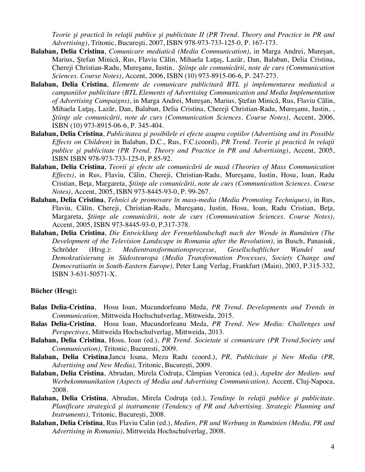*Teorie şi practică în relaţii publice şi publicitate II (PR Trend. Theory and Practice in PR and Advertising)*, Tritonic, Bucureşti, 2007, ISBN 978-973-733-125-0, P. 167-173.

- **Balaban, Delia Cristina**, *Comunicare mediatică (Media Communication)*, in Marga Andrei, Mureşan, Marius, Stefan Minică, Rus, Flaviu Călin, Mihaela Lutas, Lazăr, Dan, Balaban, Delia Cristina, Chereji Christian-Radu, Mureşanu, Iustin, *Ştiinţe ale comunicării, note de curs (Communication Sciences. Course Notes)*, Accent, 2006, ISBN (10) 973-8915-06-6, P. 247-273.
- **Balaban, Delia Cristina**, *Elemente de comunicare publicitară BTL şi implementarea mediatică a campaniilor publicitare (BTL Elements of Advertising Communication and Media Implementation of Advertising Campaigns)*, in Marga Andrei, Mureşan, Marius, Ştefan Minică, Rus, Flaviu Călin, Mihaela Luţaş, Lazăr, Dan, Balaban, Delia Cristina, Chereji Christian-Radu, Mureşanu, Iustin, , *Ştiinţe ale comunicării, note de curs (Communication Sciences. Course Notes)*, Accent, 2006, ISBN (10) 973-8915-06-6, P. 345-404.
- **Balaban, Delia Cristina**, *Publicitatea şi posibilele ei efecte asupra copiilor (Advertising and its Possible Effects on Children)* in Balaban, D.C., Rus, F.C.(coord), *PR Trend. Teorie şi practică în relaţii publice şi publicitate (PR Trend. Theory and Practice in PR and Advertising)*, Accent, 2005, ISBN ISBN 978-973-733-125-0, P.85-92.
- **Balaban, Delia Cristina**, *Teorii şi efecte ale comunicării de masă (Theories of Mass Communication Effects)*, in Rus, Flaviu, Călin, Chereji, Christian-Radu, Mureşanu, Iustin, Hosu, Ioan, Radu Cristian, Beţa, Margareta, *Ştiinţe ale comunicării, note de curs (Communication Sciences. Course Notes)*, Accent, 2005, ISBN 973-8445-93-0, P. 99-267.
- **Balaban, Delia Cristina**, *Tehnici de promovare în mass-media (Media Promoting Techniques)*, in Rus, Flaviu, Călin, Chereji, Christian-Radu, Mureşanu, Iustin, Hosu, Ioan, Radu Cristian, Beţa, Margareta, *Ştiinţe ale comunicării, note de curs (Communication Sciences. Course Notes)*, Accent, 2005, ISBN 973-8445-93-0, P.317-378.
- **Balaban, Delia Cristina**, *Die Entwicklung der Fernsehlandschaft nach der Wende in Rumänien (The Development of the Television Landscape in Romania after the Revolution)*, in Busch, Panasiuk, Schröder (Hrsg.): *Medientransformationsprozesse, Gesellschaftlicher Wandel und Demokratisierung in Südosteuropa (Media Transformation Processes, Society Change and Democratisatin in South-Eastern Europe),* Peter Lang Verlag, Frankfurt (Main), 2003, P.315-332, ISBN 3-631-50571-X.

### **Bücher (Hrsg):**

- **Balas Delia-Cristina**, Hosu Ioan, Mucundorfeanu Meda, *PR Trend. Developments and Trends in Communication,* Mittweida Hochschulverlag, Mittweida, 2015.
- **Balas Delia-Cristina**, Hosu Ioan, Mucundorfeanu Meda, *PR Trend. New Media: Challenges and Perspectives*, Mittweida Hochschulverlag, Mittweida, 2013.
- **Balaban, Delia Cristina**, Hosu, Ioan (ed.), *PR Trend. Societate si comunicare (PR Trend.Society and Communication),* Tritonic, Bucuresti, 2009.
- **Balaban, Delia Cristina**,Iancu Ioana, Meza Radu (coord.), *PR, Publicitate și New Media (PR, Advertising and New Media),* Tritonic, București, 2009.
- **Balaban, Delia Cristina**, Abrudan, Mirela Codruța, Câmpian Veronica (ed.), *Aspekte der Medien- und Werbekommunikation (Aspects of Media and Advertising Communication), Accent, Cluj-Napoca,* 2008.
- **Balaban, Delia Cristina**, Abrudan, Mirela Codruța (ed.), *Tendințe în relaţii publice şi publicitate. Planificare strategică şi instrumente (Tendency of PR and Advertising. Strategic Planning and Instruments),* Tritonic, București, 2008.
- **Balaban, Delia Cristina**, Rus Flaviu Calin (ed.), *Medien, PR und Werbung in Rumänien (Media, PR and Advertising in Romania)*, Mittweida Hochschulverlag, 2008.